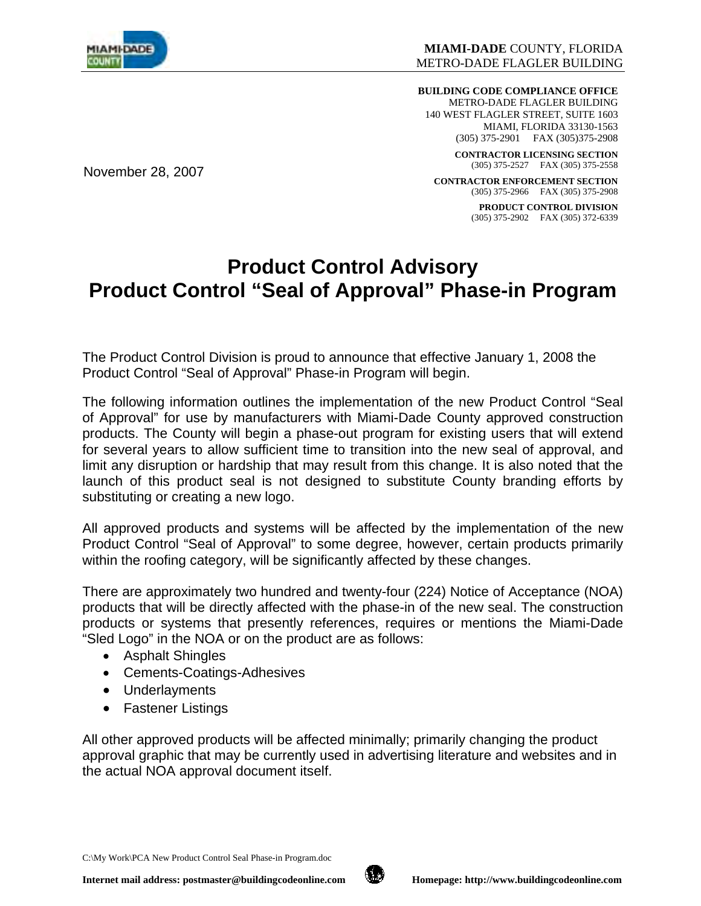

November 28, 2007

**BUILDING CODE COMPLIANCE OFFICE**  METRO-DADE FLAGLER BUILDING 140 WEST FLAGLER STREET, SUITE 1603 MIAMI, FLORIDA 33130-1563 (305) 375-2901 FAX (305)375-2908

> **CONTRACTOR LICENSING SECTION**  (305) 375-2527 FAX (305) 375-2558

**CONTRACTOR ENFORCEMENT SECTION**  (305) 375-2966 FAX (305) 375-2908

> **PRODUCT CONTROL DIVISION**  (305) 375-2902 FAX (305) 372-6339

# **Product Control Advisory Product Control "Seal of Approval" Phase-in Program**

The Product Control Division is proud to announce that effective January 1, 2008 the Product Control "Seal of Approval" Phase-in Program will begin.

The following information outlines the implementation of the new Product Control "Seal of Approval" for use by manufacturers with Miami-Dade County approved construction products. The County will begin a phase-out program for existing users that will extend for several years to allow sufficient time to transition into the new seal of approval, and limit any disruption or hardship that may result from this change. It is also noted that the launch of this product seal is not designed to substitute County branding efforts by substituting or creating a new logo.

All approved products and systems will be affected by the implementation of the new Product Control "Seal of Approval" to some degree, however, certain products primarily within the roofing category, will be significantly affected by these changes.

There are approximately two hundred and twenty-four (224) Notice of Acceptance (NOA) products that will be directly affected with the phase-in of the new seal. The construction products or systems that presently references, requires or mentions the Miami-Dade "Sled Logo" in the NOA or on the product are as follows:

- Asphalt Shingles
- Cements-Coatings-Adhesives
- Underlayments
- Fastener Listings

All other approved products will be affected minimally; primarily changing the product approval graphic that may be currently used in advertising literature and websites and in the actual NOA approval document itself.

C:\My Work\PCA New Product Control Seal Phase-in Program.doc

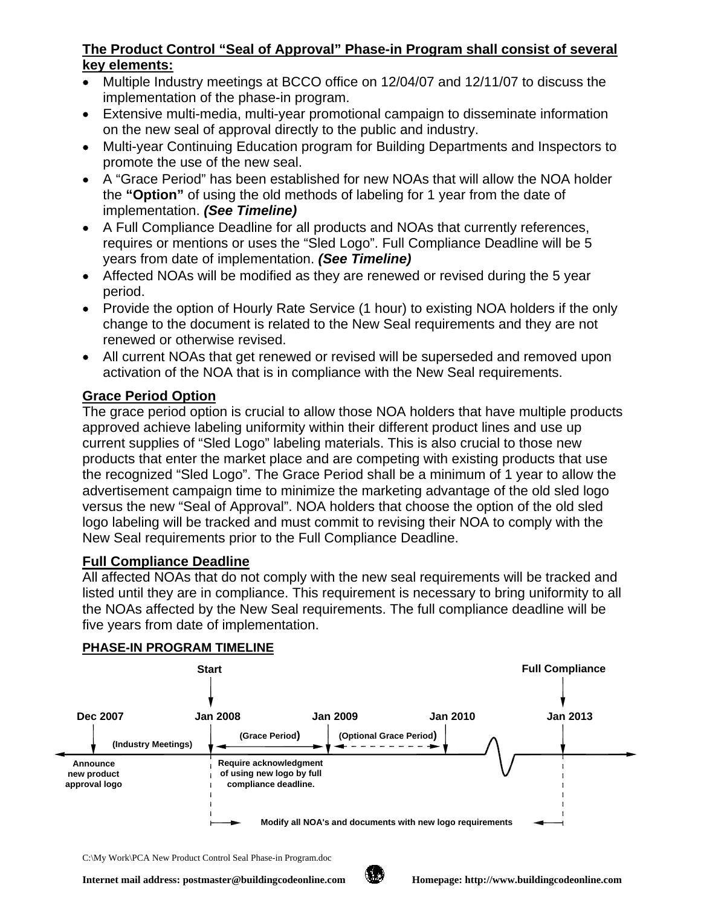## **The Product Control "Seal of Approval" Phase-in Program shall consist of several key elements:**

- Multiple Industry meetings at BCCO office on 12/04/07 and 12/11/07 to discuss the implementation of the phase-in program.
- Extensive multi-media, multi-year promotional campaign to disseminate information on the new seal of approval directly to the public and industry.
- Multi-year Continuing Education program for Building Departments and Inspectors to promote the use of the new seal.
- A "Grace Period" has been established for new NOAs that will allow the NOA holder the **"Option"** of using the old methods of labeling for 1 year from the date of implementation. *(See Timeline)*
- A Full Compliance Deadline for all products and NOAs that currently references, requires or mentions or uses the "Sled Logo". Full Compliance Deadline will be 5 years from date of implementation. *(See Timeline)*
- Affected NOAs will be modified as they are renewed or revised during the 5 year period.
- Provide the option of Hourly Rate Service (1 hour) to existing NOA holders if the only change to the document is related to the New Seal requirements and they are not renewed or otherwise revised.
- All current NOAs that get renewed or revised will be superseded and removed upon activation of the NOA that is in compliance with the New Seal requirements.

# **Grace Period Option**

The grace period option is crucial to allow those NOA holders that have multiple products approved achieve labeling uniformity within their different product lines and use up current supplies of "Sled Logo" labeling materials. This is also crucial to those new products that enter the market place and are competing with existing products that use the recognized "Sled Logo". The Grace Period shall be a minimum of 1 year to allow the advertisement campaign time to minimize the marketing advantage of the old sled logo versus the new "Seal of Approval". NOA holders that choose the option of the old sled logo labeling will be tracked and must commit to revising their NOA to comply with the New Seal requirements prior to the Full Compliance Deadline.

### **Full Compliance Deadline**

All affected NOAs that do not comply with the new seal requirements will be tracked and listed until they are in compliance. This requirement is necessary to bring uniformity to all the NOAs affected by the New Seal requirements. The full compliance deadline will be five years from date of implementation.



#### **PHASE-IN PROGRAM TIMELINE**

C:\My Work\PCA New Product Control Seal Phase-in Program.doc

Internet mail address: postmaster@buildingcodeonline.com **Homepage:** http://www.buildingcodeonline.com